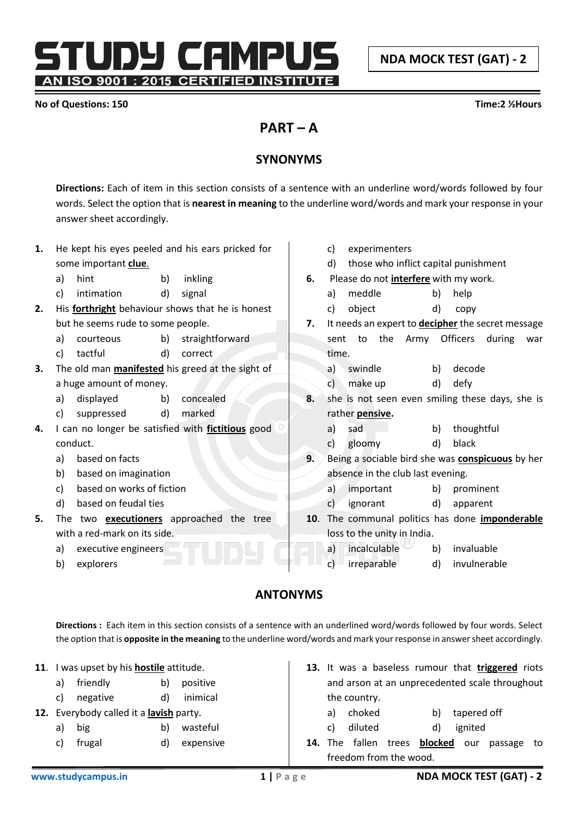**NDA MOCK TEST (GAT) - 2**

STUDY CAMPUS AN ISO 9001 : 2015 CERTIFIED INSTITUTE

#### **No of Questions: 150 Time:2 ½Hours**

# **PART – A**

## **SYNONYMS**

**Directions:** Each of item in this section consists of a sentence with an underline word/words followed by four words. Select the option that is **nearest in meaning** to the underline word/words and mark your response in your answer sheet accordingly.

| 1. | He kept his eyes peeled and his ears pricked for |                              |    |                                                         |                                                          | C)                                                      | experimenters                                |    |                                                 |
|----|--------------------------------------------------|------------------------------|----|---------------------------------------------------------|----------------------------------------------------------|---------------------------------------------------------|----------------------------------------------|----|-------------------------------------------------|
|    |                                                  | some important clue.         |    |                                                         |                                                          | d)                                                      | those who inflict capital punishment         |    |                                                 |
|    | a)                                               | hint                         | b) | inkling                                                 | 6.                                                       |                                                         | Please do not <i>interfere</i> with my work. |    |                                                 |
|    | c)                                               | intimation                   | d) | signal                                                  |                                                          | a)                                                      | meddle                                       | b) | help                                            |
| 2. |                                                  |                              |    | His <b>forthright</b> behaviour shows that he is honest |                                                          | c)                                                      | object                                       | d) | copy                                            |
|    | but he seems rude to some people.                |                              |    | 7.                                                      | It needs an expert to <b>decipher</b> the secret message |                                                         |                                              |    |                                                 |
|    | a)                                               | courteous                    | b) | straightforward                                         |                                                          | sent                                                    | the<br>Army<br>to                            |    | <b>Officers</b><br>during<br>war                |
|    | C)                                               | tactful                      | d) | correct                                                 |                                                          | time.                                                   |                                              |    |                                                 |
| 3. |                                                  |                              |    | The old man <b>manifested</b> his greed at the sight of |                                                          | a)                                                      | swindle                                      | b) | decode                                          |
|    |                                                  | a huge amount of money.      |    |                                                         |                                                          | c)                                                      | make up                                      | d) | defy                                            |
|    | a)                                               | displayed                    | b) | concealed                                               | 8.                                                       |                                                         |                                              |    | she is not seen even smiling these days, she is |
|    | c)                                               | suppressed                   | d) | marked                                                  |                                                          |                                                         | rather <b>pensive</b> .                      |    |                                                 |
| 4. |                                                  |                              |    | I can no longer be satisfied with fictitious good       |                                                          | a)                                                      | sad                                          | b) | thoughtful                                      |
|    |                                                  | conduct.                     |    |                                                         |                                                          | $\mathsf{C}$                                            | gloomy                                       | d) | black                                           |
|    | a)                                               | based on facts               |    |                                                         | 9.                                                       | Being a sociable bird she was <b>conspicuous</b> by her |                                              |    |                                                 |
|    | b)                                               | based on imagination         |    |                                                         |                                                          | absence in the club last evening.                       |                                              |    |                                                 |
|    | c)                                               | based on works of fiction    |    |                                                         |                                                          | a)                                                      | important                                    | b) | prominent                                       |
|    | d)                                               | based on feudal ties         |    |                                                         |                                                          | C)                                                      | ignorant                                     | d) | apparent                                        |
| 5. |                                                  |                              |    | The two <b>executioners</b> approached the tree         | 10 <sub>1</sub>                                          |                                                         |                                              |    | The communal politics has done imponderable     |
|    |                                                  | with a red-mark on its side. |    |                                                         |                                                          |                                                         | loss to the unity in India.                  |    |                                                 |
|    | a)                                               | executive engineers          |    |                                                         |                                                          | a)                                                      | incalculable                                 | b) | invaluable                                      |
|    | b)                                               | explorers                    |    |                                                         |                                                          | C)                                                      | irreparable                                  | d) | invulnerable                                    |

## **ANTONYMS**

**Directions :** Each item in this section consists of a sentence with an underlined word/words followed by four words. Select the option that is **opposite in the meaning** to the underline word/words and mark your response in answer sheet accordingly.

| 11. |                                         | I was upset by his <b>hostile</b> attitude. |    |                                   |                        |    |              |       |         |         | 13. It was a baseless rumour that triggered riots |     |
|-----|-----------------------------------------|---------------------------------------------|----|-----------------------------------|------------------------|----|--------------|-------|---------|---------|---------------------------------------------------|-----|
|     | a)                                      | friendly                                    | b) | positive                          |                        |    |              |       |         |         | and arson at an unprecedented scale throughout    |     |
|     | C)                                      | negative                                    | d) | inimical                          |                        |    | the country. |       |         |         |                                                   |     |
|     | 12. Everybody called it a lavish party. |                                             |    | choked<br>b)<br>tapered off<br>a) |                        |    |              |       |         |         |                                                   |     |
|     | a)                                      | big                                         | b) | wasteful                          |                        | C) | diluted      |       | d)      | ignited |                                                   |     |
|     | C)                                      | frugal                                      | d) | expensive                         | 14.                    |    | The fallen   | trees | blocked | our     | passage                                           | to. |
|     |                                         |                                             |    |                                   | freedom from the wood. |    |              |       |         |         |                                                   |     |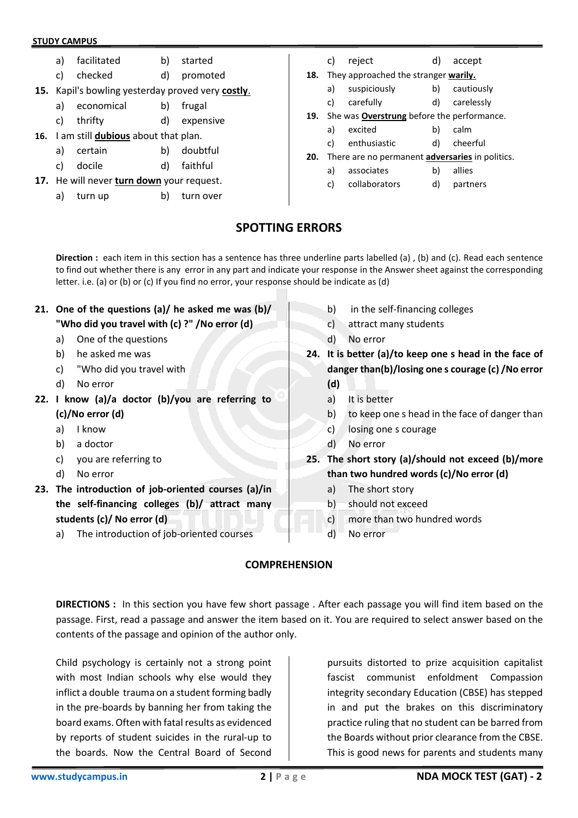- a) facilitated b) started
- c) checked d) promoted
- **15.** Kapil's bowling yesterday proved very **costly**.
	- a) economical b) frugal
	- c) thrifty d) expensive
- **16.** I am still **dubious** about that plan.
	- a) certain b) doubtful
	- c) docile d) faithful
- **17.** He will never **turn down** your request.
	- a) turn up b) turn over
- c) reject d) accept
- **18.** They approached the stranger **warily.**
	- a) suspiciously b) cautiously
	- c) carefully d) carelessly
- **19.** She was **Overstrung** before the performance.
	- a) excited b) calm
		- c) enthusiastic d) cheerful
- **20.** There are no permanent **adversaries** in politics.
	- a) associates b) allies
	- c) collaborators d) partners

## **SPOTTING ERRORS**

**Direction :** each item in this section has a sentence has three underline parts labelled (a) , (b) and (c). Read each sentence to find out whether there is any error in any part and indicate your response in the Answer sheet against the corresponding letter. i.e. (a) or (b) or (c) If you find no error, your response should be indicate as (d)

**21. One of the questions (a)/ he asked me was (b)/ "Who did you travel with (c) ?" /No error (d)** a) One of the questions b) he asked me was c) "Who did you travel with d) No error **22. I know (a)/a doctor (b)/you are referring to (c)/No error (d)** a) I know b) a doctor c) you are referring to d) No error **23. The introduction of job-oriented courses (a)/in the self-financing colleges (b)/ attract many students (c)/ No error (d)** a) The introduction of job-oriented courses b) in the self-financing colleges c) attract many students d) No error **24. It is better (a)/to keep one s head in the face of danger than(b)/losing one s courage (c) /No error (d)** a) It is better b) to keep one s head in the face of danger than c) losing one s courage d) No error **25. The short story (a)/should not exceed (b)/more than two hundred words (c)/No error (d)** a) The short story b) should not exceed c) more than two hundred words d) No error

### **COMPREHENSION**

**DIRECTIONS :** In this section you have few short passage . After each passage you will find item based on the passage. First, read a passage and answer the item based on it. You are required to select answer based on the contents of the passage and opinion of the author only.

Child psychology is certainly not a strong point with most Indian schools why else would they inflict a double trauma on a student forming badly in the pre-boards by banning her from taking the board exams. Often with fatal results as evidenced by reports of student suicides in the rural-up to the boards. Now the Central Board of Second

pursuits distorted to prize acquisition capitalist fascist communist enfoldment Compassion integrity secondary Education (CBSE) has stepped in and put the brakes on this discriminatory practice ruling that no student can be barred from the Boards without prior clearance from the CBSE. This is good news for parents and students many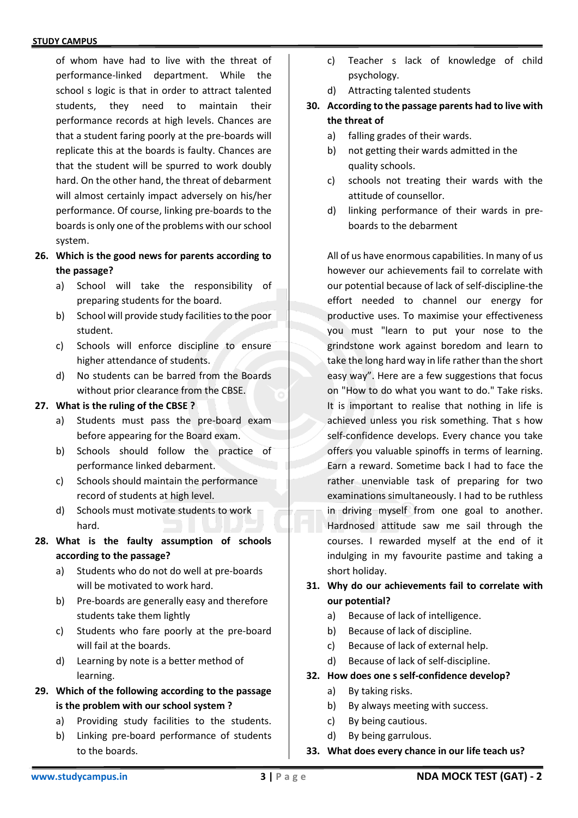of whom have had to live with the threat of performance-linked department. While the school s logic is that in order to attract talented students, they need to maintain their performance records at high levels. Chances are that a student faring poorly at the pre-boards will replicate this at the boards is faulty. Chances are that the student will be spurred to work doubly hard. On the other hand, the threat of debarment will almost certainly impact adversely on his/her performance. Of course, linking pre-boards to the boards is only one of the problems with our school system.

- **26. Which is the good news for parents according to the passage?**
	- a) School will take the responsibility of preparing students for the board.
	- b) School will provide study facilities to the poor student.
	- c) Schools will enforce discipline to ensure higher attendance of students.
	- d) No students can be barred from the Boards without prior clearance from the CBSE.

#### **27. What is the ruling of the CBSE ?**

- a) Students must pass the pre-board exam before appearing for the Board exam.
- b) Schools should follow the practice of performance linked debarment.
- c) Schools should maintain the performance record of students at high level.
- d) Schools must motivate students to work hard.
- **28. What is the faulty assumption of schools according to the passage?**
	- a) Students who do not do well at pre-boards will be motivated to work hard.
	- b) Pre-boards are generally easy and therefore students take them lightly
	- c) Students who fare poorly at the pre-board will fail at the boards.
	- d) Learning by note is a better method of learning.
- **29. Which of the following according to the passage is the problem with our school system ?**
	- a) Providing study facilities to the students.
	- b) Linking pre-board performance of students to the boards.
- c) Teacher s lack of knowledge of child psychology.
- d) Attracting talented students
- **30. According to the passage parents had to live with the threat of**
	- a) falling grades of their wards.
	- b) not getting their wards admitted in the quality schools.
	- c) schools not treating their wards with the attitude of counsellor.
	- d) linking performance of their wards in preboards to the debarment

All of us have enormous capabilities. In many of us however our achievements fail to correlate with our potential because of lack of self-discipline-the effort needed to channel our energy for productive uses. To maximise your effectiveness you must "learn to put your nose to the grindstone work against boredom and learn to take the long hard way in life rather than the short easy way". Here are a few suggestions that focus on "How to do what you want to do." Take risks. It is important to realise that nothing in life is achieved unless you risk something. That s how self-confidence develops. Every chance you take offers you valuable spinoffs in terms of learning. Earn a reward. Sometime back I had to face the rather unenviable task of preparing for two examinations simultaneously. I had to be ruthless in driving myself from one goal to another. Hardnosed attitude saw me sail through the courses. I rewarded myself at the end of it indulging in my favourite pastime and taking a short holiday.

## **31. Why do our achievements fail to correlate with our potential?**

- a) Because of lack of intelligence.
- b) Because of lack of discipline.
- c) Because of lack of external help.
- d) Because of lack of self-discipline.

### **32. How does one s self-confidence develop?**

- a) By taking risks.
- b) By always meeting with success.
- c) By being cautious.
- d) By being garrulous.
- **33. What does every chance in our life teach us?**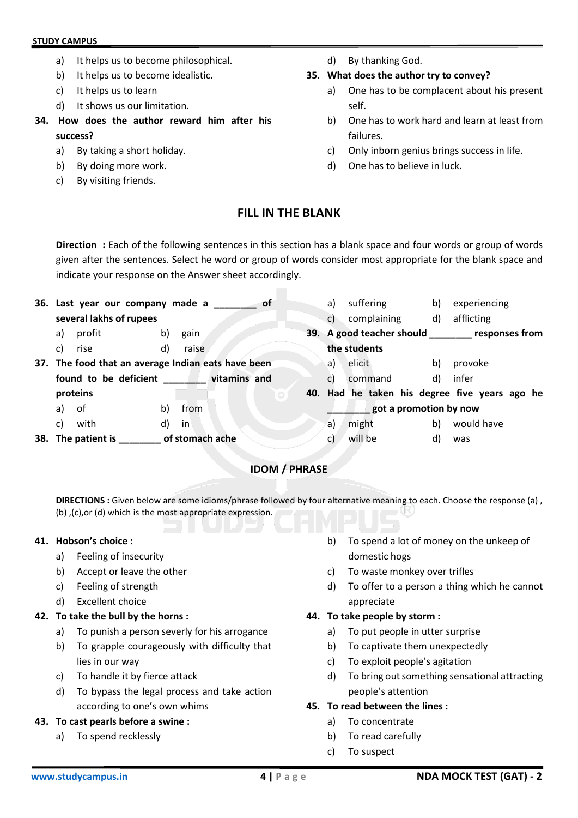- a) It helps us to become philosophical.
- b) It helps us to become idealistic.
- c) It helps us to learn
- d) It shows us our limitation.
- **34. How does the author reward him after his success?**
	- a) By taking a short holiday.
	- b) By doing more work.
	- c) By visiting friends.

d) By thanking God.

### **35. What does the author try to convey?**

- a) One has to be complacent about his present self.
- b) One has to work hard and learn at least from failures.
- c) Only inborn genius brings success in life.
- d) One has to believe in luck.

## **FILL IN THE BLANK**

**Direction :** Each of the following sentences in this section has a blank space and four words or group of words given after the sentences. Select he word or group of words consider most appropriate for the blank space and indicate your response on the Answer sheet accordingly.

|    | 36. Last year our company made a                   |    |                 | <b>of</b> | a)           | suffering              | b) | experiencing                                      |
|----|----------------------------------------------------|----|-----------------|-----------|--------------|------------------------|----|---------------------------------------------------|
|    | several lakhs of rupees                            |    |                 |           | C)           | complaining            | d) | afflicting                                        |
| a) | profit                                             | b) | gain            |           |              |                        |    | 39. A good teacher should ________ responses from |
| C) | rise                                               | d) | raise           |           |              | the students           |    |                                                   |
|    | 37. The food that an average Indian eats have been |    |                 |           | a)           | elicit                 | b) | provoke                                           |
|    | found to be deficient vitamins and                 |    |                 |           | $\mathsf{c}$ | command                | d) | infer                                             |
|    | proteins                                           |    |                 |           |              |                        |    | 40. Had he taken his degree five years ago he     |
| a) | 0f                                                 | b) | from            |           |              | got a promotion by now |    |                                                   |
| C) | with                                               | d) | in              |           | a)           | might                  | b) | would have                                        |
|    | 38. The patient is                                 |    | of stomach ache |           | C)           | will be                | d) | was                                               |

## **IDOM / PHRASE**

**DIRECTIONS :** Given below are some idioms/phrase followed by four alternative meaning to each. Choose the response (a) , (b) ,(c),or (d) which is the most appropriate expression.

### **41. Hobson's choice :**

- a) Feeling of insecurity
- b) Accept or leave the other
- c) Feeling of strength
- d) Excellent choice

### **42. To take the bull by the horns :**

- a) To punish a person severly for his arrogance
- b) To grapple courageously with difficulty that lies in our way
- c) To handle it by fierce attack
- d) To bypass the legal process and take action according to one's own whims

### **43. To cast pearls before a swine :**

a) To spend recklessly

- b) To spend a lot of money on the unkeep of domestic hogs
- c) To waste monkey over trifles
- d) To offer to a person a thing which he cannot appreciate

### **44. To take people by storm :**

- a) To put people in utter surprise
- b) To captivate them unexpectedly
- c) To exploit people's agitation
- d) To bring out something sensational attracting people's attention

### **45. To read between the lines :**

- a) To concentrate
- b) To read carefully
- c) To suspect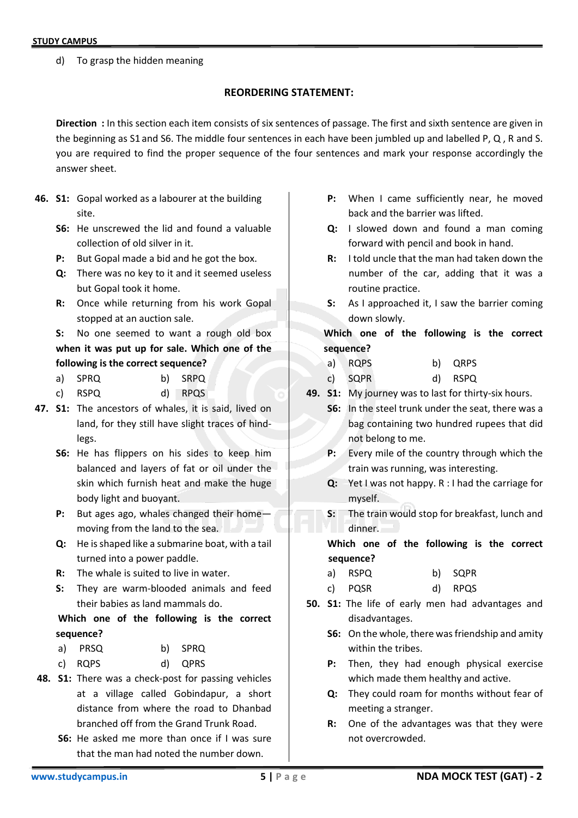d) To grasp the hidden meaning

### **REORDERING STATEMENT:**

**Direction :** In this section each item consists of six sentences of passage. The first and sixth sentence are given in the beginning as S1 and S6. The middle four sentences in each have been jumbled up and labelled P, Q , R and S. you are required to find the proper sequence of the four sentences and mark your response accordingly the answer sheet.

- **46. S1:** Gopal worked as a labourer at the building site.
	- **S6:** He unscrewed the lid and found a valuable collection of old silver in it.
	- **P:** But Gopal made a bid and he got the box.
	- **Q:** There was no key to it and it seemed useless but Gopal took it home.
	- **R:** Once while returning from his work Gopal stopped at an auction sale.
	- **S:** No one seemed to want a rough old box **when it was put up for sale. Which one of the following is the correct sequence?**
	- a) SPRQ b) SRPQ
	- c) RSPQ d) RPQS
- **47. S1:** The ancestors of whales, it is said, lived on land, for they still have slight traces of hindlegs.
	- **S6:** He has flippers on his sides to keep him balanced and layers of fat or oil under the skin which furnish heat and make the huge body light and buoyant.
	- **P:** But ages ago, whales changed their home moving from the land to the sea.
	- **Q:** He is shaped like a submarine boat, with a tail turned into a power paddle.
	- **R:** The whale is suited to live in water.
	- **S:** They are warm-blooded animals and feed their babies as land mammals do.

## **Which one of the following is the correct sequence?**

- a) PRSQ b) SPRQ
- c) RQPS d) QPRS
- **48. S1:** There was a check-post for passing vehicles at a village called Gobindapur, a short distance from where the road to Dhanbad branched off from the Grand Trunk Road.
	- **S6:** He asked me more than once if I was sure that the man had noted the number down.
- **P:** When I came sufficiently near, he moved back and the barrier was lifted.
- **Q:** I slowed down and found a man coming forward with pencil and book in hand.
- **R:** I told uncle that the man had taken down the number of the car, adding that it was a routine practice.
- **S:** As I approached it, I saw the barrier coming down slowly.

**Which one of the following is the correct sequence?** 

- a) RQPS b) QRPS
- c) SQPR d) RSPQ
- **49. S1:** My journey was to last for thirty-six hours.
	- **S6:** In the steel trunk under the seat, there was a bag containing two hundred rupees that did not belong to me.
	- **P:** Every mile of the country through which the train was running, was interesting.
	- **Q:** Yet I was not happy. R : I had the carriage for myself.
	- **S:** The train would stop for breakfast, lunch and dinner.

**Which one of the following is the correct sequence?** 

- a) RSPQ b) SQPR
- c) PQSR d) RPQS
- **50. S1:** The life of early men had advantages and disadvantages.
	- **S6:** On the whole, there was friendship and amity within the tribes.
	- **P:** Then, they had enough physical exercise which made them healthy and active.
	- **Q:** They could roam for months without fear of meeting a stranger.
	- **R:** One of the advantages was that they were not overcrowded.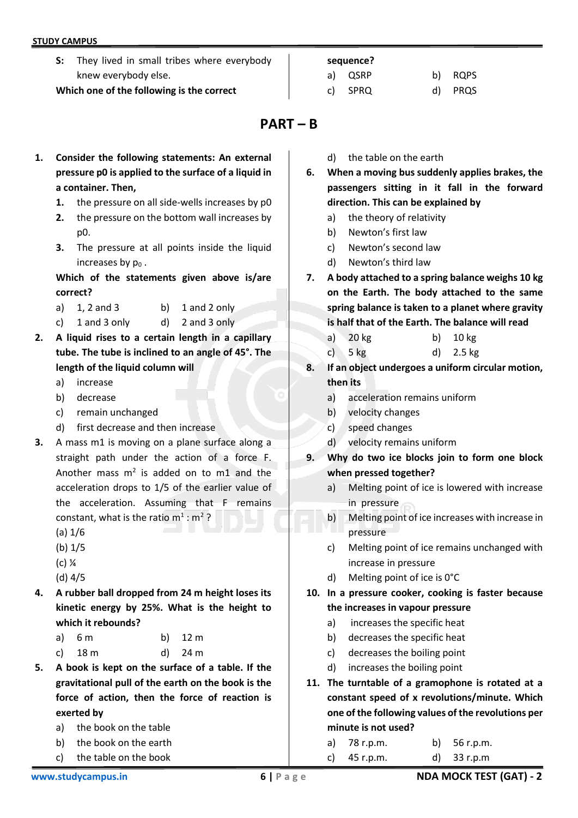**S:** They lived in small tribes where everybody knew everybody else.

**Which one of the following is the correct**

#### **sequence?**

## a) QSRP b) RQPS c) SPRQ d) PRQS

# **PART – B**

- **1. Consider the following statements: An external pressure p0 is applied to the surface of a liquid in a container. Then,**
	- **1.** the pressure on all side-wells increases by p0
	- **2.** the pressure on the bottom wall increases by p0.
	- **3.** The pressure at all points inside the liquid increases by  $p_0$ .

**Which of the statements given above is/are correct?**

- a)  $1, 2$  and  $3$  b)  $1$  and  $2$  only
- c) 1 and 3 only d) 2 and 3 only
- **2. A liquid rises to a certain length in a capillary tube. The tube is inclined to an angle of 45°. The length of the liquid column will**
	- a) increase
	- b) decrease
	- c) remain unchanged
	- d) first decrease and then increase
- **3.** A mass m1 is moving on a plane surface along a straight path under the action of a force F. Another mass  $m^2$  is added on to m1 and the acceleration drops to 1/5 of the earlier value of the acceleration. Assuming that F remains constant, what is the ratio  $m^1$  :  $m^2$  ?
	- (a) 1/6
	- (b) 1/5
	- (c) ¼
	- (d) 4/5
- **4. A rubber ball dropped from 24 m height loses its kinetic energy by 25%. What is the height to which it rebounds?**

| a) $6m$   | b) $12 m$ |
|-----------|-----------|
| c) $18 m$ | d) $24 m$ |

- **5. A book is kept on the surface of a table. If the gravitational pull of the earth on the book is the force of action, then the force of reaction is exerted by**
	- a) the book on the table
	- b) the book on the earth
	- c) the table on the book
- d) the table on the earth
- **6. When a moving bus suddenly applies brakes, the passengers sitting in it fall in the forward direction. This can be explained by**
	- a) the theory of relativity
	- b) Newton's first law
	- c) Newton's second law
	- d) Newton's third law
- **7. A body attached to a spring balance weighs 10 kg on the Earth. The body attached to the same spring balance is taken to a planet where gravity is half that of the Earth. The balance will read**
	- a) 20 kg b) 10 kg
	- c) 5 kg d) 2.5 kg
- **8. If an object undergoes a uniform circular motion, then its**
	- a) acceleration remains uniform
	- b) velocity changes
	- c) speed changes
	- d) velocity remains uniform
- **9. Why do two ice blocks join to form one block when pressed together?**
	- a) Melting point of ice is lowered with increase in pressure
	- b) Melting point of ice increases with increase in pressure
	- c) Melting point of ice remains unchanged with increase in pressure
	- d) Melting point of ice is 0°C
- **10. In a pressure cooker, cooking is faster because the increases in vapour pressure**
	- a) increases the specific heat
	- b) decreases the specific heat
	- c) decreases the boiling point
	- d) increases the boiling point
- **11. The turntable of a gramophone is rotated at a constant speed of x revolutions/minute. Which one of the following values of the revolutions per minute is not used?**

| c) $45 r.p.m.$ | d) $33$ r.p.m  |
|----------------|----------------|
| a) 78 r.p.m.   | b) $56$ r.p.m. |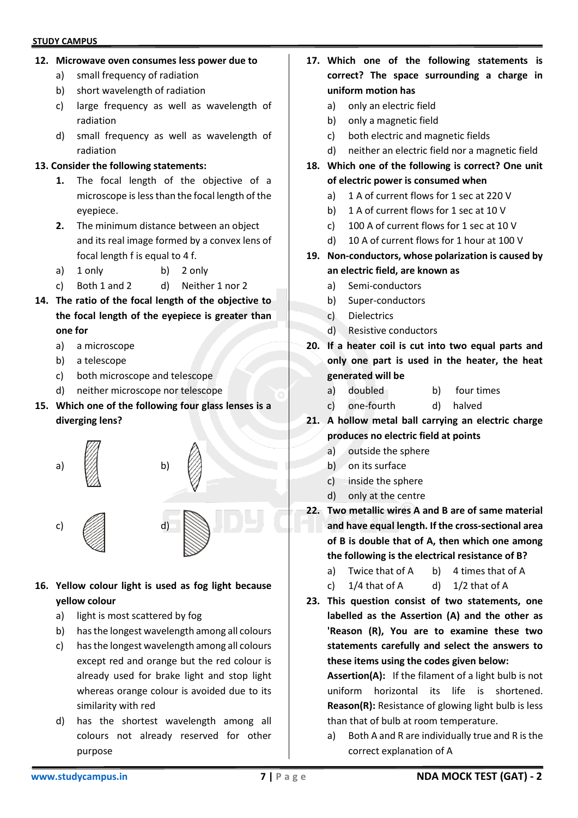#### **12. Microwave oven consumes less power due to**

- a) small frequency of radiation
- b) short wavelength of radiation
- c) large frequency as well as wavelength of radiation
- d) small frequency as well as wavelength of radiation

#### **13. Consider the following statements:**

- **1.** The focal length of the objective of a microscope is less than the focal length of the eyepiece.
- **2.** The minimum distance between an object and its real image formed by a convex lens of focal length f is equal to 4 f.
- a) 1 only b) 2 only
- c) Both 1 and 2 d) Neither 1 nor 2
- **14. The ratio of the focal length of the objective to the focal length of the eyepiece is greater than one for**
	- a) a microscope
	- b) a telescope
	- c) both microscope and telescope
	- d) neither microscope nor telescope
- **15. Which one of the following four glass lenses is a diverging lens?**





- **16. Yellow colour light is used as fog light because yellow colour**
	- a) light is most scattered by fog
	- b) has the longest wavelength among all colours
	- c) has the longest wavelength among all colours except red and orange but the red colour is already used for brake light and stop light whereas orange colour is avoided due to its similarity with red
	- d) has the shortest wavelength among all colours not already reserved for other purpose
- **17. Which one of the following statements is correct? The space surrounding a charge in uniform motion has**
	- a) only an electric field
	- b) only a magnetic field
	- c) both electric and magnetic fields
- d) neither an electric field nor a magnetic field **18. Which one of the following is correct? One unit**
- **of electric power is consumed when**
	- a) 1 A of current flows for 1 sec at 220 V
	- b) 1 A of current flows for 1 sec at 10 V
	- c) 100 A of current flows for 1 sec at 10 V
	- d) 10 A of current flows for 1 hour at 100 V
- **19. Non-conductors, whose polarization is caused by an electric field, are known as**
	- a) Semi-conductors
	- b) Super-conductors
	- c) Dielectrics
	- d) Resistive conductors
- **20. If a heater coil is cut into two equal parts and only one part is used in the heater, the heat generated will be**
	- a) doubled b) four times
	- c) one-fourth d) halved
- **21. A hollow metal ball carrying an electric charge produces no electric field at points**
	- a) outside the sphere
	- b) on its surface
	- c) inside the sphere
	- d) only at the centre
- **22. Two metallic wires A and B are of same material and have equal length. If the cross-sectional area of B is double that of A, then which one among the following is the electrical resistance of B?**
	- a) Twice that of A b) 4 times that of A
	- c)  $1/4$  that of A d)  $1/2$  that of A
- **23. This question consist of two statements, one labelled as the Assertion (A) and the other as 'Reason (R), You are to examine these two statements carefully and select the answers to these items using the codes given below:**

**Assertion(A):** If the filament of a light bulb is not uniform horizontal its life is shortened. **Reason(R):** Resistance of glowing light bulb is less than that of bulb at room temperature.

a) Both A and R are individually true and R is the correct explanation of A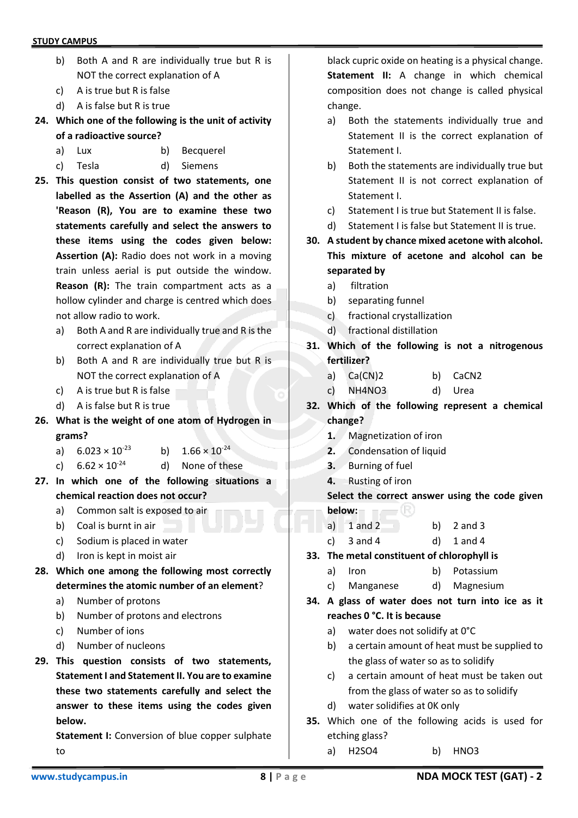- b) Both A and R are individually true but R is NOT the correct explanation of A
- c) A is true but R is false
- d) A is false but R is true
- **24. Which one of the following is the unit of activity of a radioactive source?**
	- a) Lux b) Becquerel
	- c) Tesla d) Siemens
- **25. This question consist of two statements, one labelled as the Assertion (A) and the other as 'Reason (R), You are to examine these two statements carefully and select the answers to these items using the codes given below: Assertion (A):** Radio does not work in a moving train unless aerial is put outside the window. **Reason (R):** The train compartment acts as a hollow cylinder and charge is centred which does not allow radio to work.
	- a) Both A and R are individually true and R is the correct explanation of A
	- b) Both A and R are individually true but R is NOT the correct explanation of A
	- c) A is true but R is false
	- d) A is false but R is true
- **26. What is the weight of one atom of Hydrogen in grams?**
	- a)  $6.023 \times 10^{-23}$  b)  $1.66 \times 10^{-24}$
	- c)  $6.62 \times 10^{-24}$  d) None of these
- **27. In which one of the following situations a chemical reaction does not occur?**
	- a) Common salt is exposed to air
	- b) Coal is burnt in air
	- c) Sodium is placed in water
	- d) Iron is kept in moist air
- **28. Which one among the following most correctly determines the atomic number of an element**?
	- a) Number of protons
	- b) Number of protons and electrons
	- c) Number of ions
	- d) Number of nucleons
- **29. This question consists of two statements, Statement I and Statement II. You are to examine these two statements carefully and select the answer to these items using the codes given below.**

**Statement I:** Conversion of blue copper sulphate to

black cupric oxide on heating is a physical change. **Statement II:** A change in which chemical composition does not change is called physical change.

- a) Both the statements individually true and Statement II is the correct explanation of Statement I.
- b) Both the statements are individually true but Statement II is not correct explanation of Statement I.
- c) Statement I is true but Statement II is false.
- d) Statement I is false but Statement II is true.
- **30. A student by chance mixed acetone with alcohol. This mixture of acetone and alcohol can be separated by**
	- a) filtration
	- b) separating funnel
	- c) fractional crystallization
	- d) fractional distillation
- **31. Which of the following is not a nitrogenous fertilizer?**
	- a) Ca(CN)2 b) CaCN2
	- c) NH4NO3 d) Urea
- **32. Which of the following represent a chemical change?**
	- **1.** Magnetization of iron
	- **2.** Condensation of liquid
	- **3.** Burning of fuel
	- **4.** Rusting of iron

**Select the correct answer using the code given below:**

- a)  $1$  and  $2$  b)  $2$  and  $3$
- c)  $3$  and  $4$  d)  $1$  and  $4$
- **33. The metal constituent of chlorophyll is**
	- a) Iron b) Potassium
	- c) Manganese d) Magnesium
- **34. A glass of water does not turn into ice as it reaches 0 °C. It is because**
	- a) water does not solidify at 0°C
	- b) a certain amount of heat must be supplied to the glass of water so as to solidify
	- c) a certain amount of heat must be taken out from the glass of water so as to solidify
	- d) water solidifies at 0K only
- **35.** Which one of the following acids is used for etching glass?
	- a) H2SO4 b) HNO3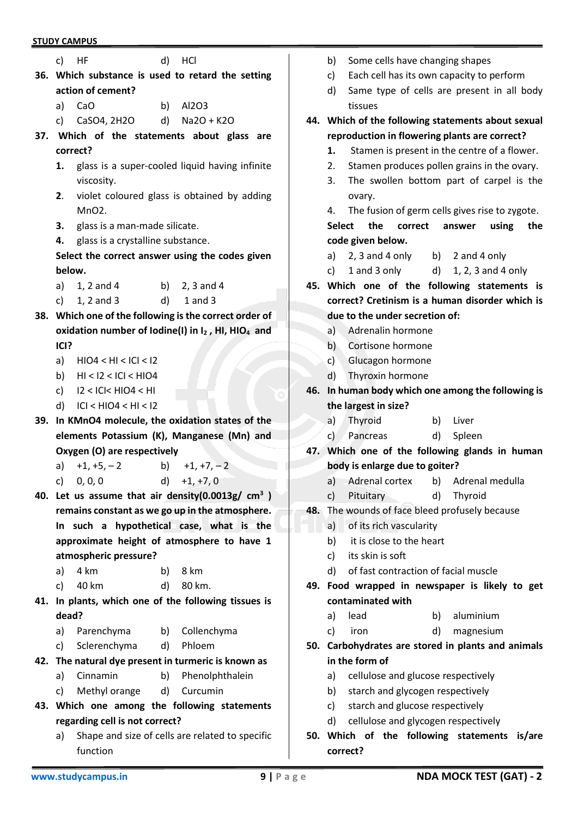|                                                                         | c) HF                                |    | d) HCl                                                            |  |  |  |  |
|-------------------------------------------------------------------------|--------------------------------------|----|-------------------------------------------------------------------|--|--|--|--|
|                                                                         |                                      |    | 36. Which substance is used to retard the setting                 |  |  |  |  |
|                                                                         | action of cement?                    |    |                                                                   |  |  |  |  |
| a)                                                                      | CaO                                  |    | b) Al2O3                                                          |  |  |  |  |
|                                                                         | c) CaSO4, 2H2O                       |    | d) $Na2O + K2O$                                                   |  |  |  |  |
|                                                                         |                                      |    | 37. Which of the statements about glass are                       |  |  |  |  |
|                                                                         | correct?                             |    |                                                                   |  |  |  |  |
|                                                                         |                                      |    | 1. glass is a super-cooled liquid having infinite                 |  |  |  |  |
|                                                                         | viscosity.                           |    |                                                                   |  |  |  |  |
| violet coloured glass is obtained by adding<br>2.<br>MnO <sub>2</sub> . |                                      |    |                                                                   |  |  |  |  |
| 3.                                                                      | glass is a man-made silicate.        |    |                                                                   |  |  |  |  |
|                                                                         | 4. glass is a crystalline substance. |    |                                                                   |  |  |  |  |
|                                                                         |                                      |    | Select the correct answer using the codes given                   |  |  |  |  |
| below.                                                                  |                                      |    |                                                                   |  |  |  |  |
|                                                                         | a) 1, 2 and 4 b) 2, 3 and 4          |    |                                                                   |  |  |  |  |
|                                                                         | c) $1, 2$ and 3                      |    | d) $1$ and $3$                                                    |  |  |  |  |
|                                                                         |                                      |    | 38. Which one of the following is the correct order of            |  |  |  |  |
|                                                                         |                                      |    | oxidation number of lodine(I) in I2, HI, HIO <sub>4</sub> and     |  |  |  |  |
| ICI?                                                                    |                                      |    |                                                                   |  |  |  |  |
|                                                                         | a) $HIO4 < HI < ICI < I2$            |    |                                                                   |  |  |  |  |
|                                                                         | b) $H1 < 12 < ICI < H104$            |    |                                                                   |  |  |  |  |
|                                                                         | c) $12 <  C  < HIO4 < HI$            |    |                                                                   |  |  |  |  |
|                                                                         | d) $ C  < H$ $ O4 < H  < 12$         |    |                                                                   |  |  |  |  |
|                                                                         |                                      |    | 39. In KMnO4 molecule, the oxidation states of the                |  |  |  |  |
|                                                                         |                                      |    | elements Potassium (K), Manganese (Mn) and                        |  |  |  |  |
|                                                                         | Oxygen (O) are respectively          |    |                                                                   |  |  |  |  |
|                                                                         | a) $+1, +5, -2$                      |    | b) $+1, +7, -2$                                                   |  |  |  |  |
|                                                                         | c) $0, 0, 0$ d) $+1, +7, 0$          |    |                                                                   |  |  |  |  |
|                                                                         |                                      |    | 40. Let us assume that air density(0.0013g/ $cm3$ )               |  |  |  |  |
|                                                                         |                                      |    | remains constant as we go up in the atmosphere.                   |  |  |  |  |
|                                                                         |                                      |    | In such a hypothetical case, what is the                          |  |  |  |  |
|                                                                         |                                      |    | approximate height of atmosphere to have 1                        |  |  |  |  |
|                                                                         | atmospheric pressure?                |    |                                                                   |  |  |  |  |
| a)                                                                      | 4 km                                 |    | b) $8 \text{ km}$                                                 |  |  |  |  |
|                                                                         | c) $40 \text{ km}$                   |    | d) 80 km.<br>41. In plants, which one of the following tissues is |  |  |  |  |
| dead?                                                                   |                                      |    |                                                                   |  |  |  |  |
| a)                                                                      | Parenchyma                           | b) | Collenchyma                                                       |  |  |  |  |
| c)                                                                      | Sclerenchyma                         |    | d) Phloem                                                         |  |  |  |  |
|                                                                         |                                      |    | 42. The natural dye present in turmeric is known as               |  |  |  |  |
| a)                                                                      | Cinnamin                             | b) | Phenolphthalein                                                   |  |  |  |  |
|                                                                         | c) Methyl orange                     |    | d) Curcumin                                                       |  |  |  |  |
|                                                                         |                                      |    | 43. Which one among the following statements                      |  |  |  |  |
|                                                                         | regarding cell is not correct?       |    |                                                                   |  |  |  |  |
|                                                                         |                                      |    |                                                                   |  |  |  |  |

- a) Shape and size of cells are related to specific function
- 
- b) Some cells have changing shapes
- c) Each cell has its own capacity to perform
- d) Same type of cells are present in all body tissues
- **44. Which of the following statements about sexual reproduction in flowering plants are correct?**
	- **1.** Stamen is present in the centre of a flower.
	- 2. Stamen produces pollen grains in the ovary.
	- 3. The swollen bottom part of carpel is the ovary.
	- 4. The fusion of germ cells gives rise to zygote.

**Select the correct answer using the code given below.**

- a)  $2, 3$  and  $4$  only b)  $2$  and  $4$  only
- c)  $1$  and  $3$  only d)  $1, 2, 3$  and  $4$  only
- **45. Which one of the following statements is correct? Cretinism is a human disorder which is due to the under secretion of:**
	- a) Adrenalin hormone
	- b) Cortisone hormone
	- c) Glucagon hormone
	- d) Thyroxin hormone
- **46. In human body which one among the following is the largest in size?**
	- a) Thyroid b) Liver
		- c) Pancreas d) Spleen
- **47. Which one of the following glands in human body is enlarge due to goiter?**
	- a) Adrenal cortex b) Adrenal medulla
	- c) Pituitary d) Thyroid
- **48.** The wounds of face bleed profusely because
	- a) of its rich vascularity
	- b) it is close to the heart
	- c) its skin is soft
	- d) of fast contraction of facial muscle
- **49. Food wrapped in newspaper is likely to get contaminated with**
	- a) lead b) aluminium
	- c) iron d) magnesium
- **50. Carbohydrates are stored in plants and animals in the form of**
	- a) cellulose and glucose respectively
	- b) starch and glycogen respectively
	- c) starch and glucose respectively
	- d) cellulose and glycogen respectively
- **50. Which of the following statements is/are correct?**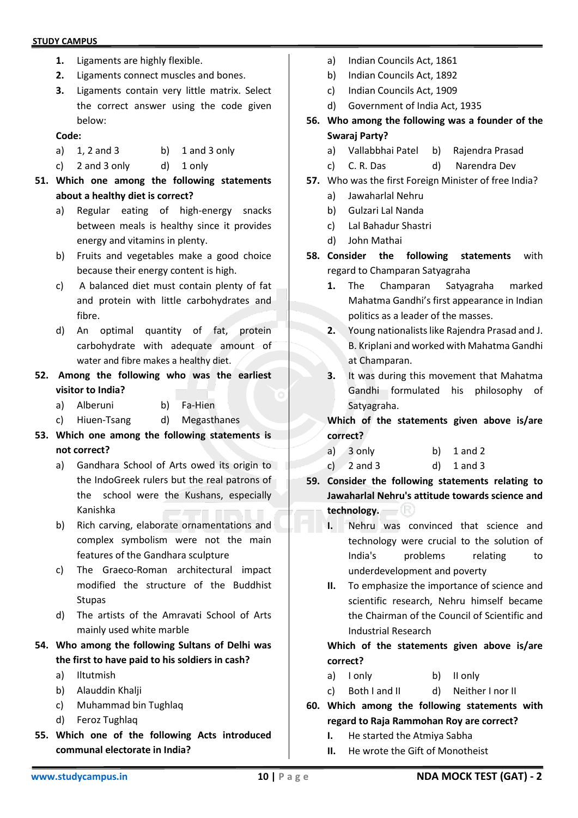- **1.** Ligaments are highly flexible.
- **2.** Ligaments connect muscles and bones.
- **3.** Ligaments contain very little matrix. Select the correct answer using the code given below:

#### **Code:**

- a)  $1, 2$  and  $3$  b)  $1$  and  $3$  only
- c) 2 and 3 only d) 1 only
- **51. Which one among the following statements about a healthy diet is correct?**
	- a) Regular eating of high-energy snacks between meals is healthy since it provides energy and vitamins in plenty.
	- b) Fruits and vegetables make a good choice because their energy content is high.
	- c) A balanced diet must contain plenty of fat and protein with little carbohydrates and fibre.
	- d) An optimal quantity of fat, protein carbohydrate with adequate amount of water and fibre makes a healthy diet.
- **52. Among the following who was the earliest visitor to India?**
	- a) Alberuni b) Fa-Hien
	- c) Hiuen-Tsang d) Megasthanes
- **53. Which one among the following statements is not correct?**
	- a) Gandhara School of Arts owed its origin to the IndoGreek rulers but the real patrons of the school were the Kushans, especially Kanishka
	- b) Rich carving, elaborate ornamentations and complex symbolism were not the main features of the Gandhara sculpture
	- c) The Graeco-Roman architectural impact modified the structure of the Buddhist Stupas
	- d) The artists of the Amravati School of Arts mainly used white marble
- **54. Who among the following Sultans of Delhi was the first to have paid to his soldiers in cash?**
	- a) Iltutmish
	- b) Alauddin Khalji
	- c) Muhammad bin Tughlaq
	- d) Feroz Tughlaq
- **55. Which one of the following Acts introduced communal electorate in India?**
- a) Indian Councils Act, 1861
- b) Indian Councils Act, 1892
- c) Indian Councils Act, 1909
- d) Government of India Act, 1935
- **56. Who among the following was a founder of the Swaraj Party?**
	- a) Vallabbhai Patel b) Rajendra Prasad
	- c) C. R. Das d) Narendra Dev
- **57.** Who was the first Foreign Minister of free India?
	- a) Jawaharlal Nehru
	- b) Gulzari Lal Nanda
	- c) Lal Bahadur Shastri
	- d) John Mathai
- **58. Consider the following statements** with regard to Champaran Satyagraha
	- **1.** The Champaran Satyagraha marked Mahatma Gandhi's first appearance in Indian politics as a leader of the masses.
	- **2.** Young nationalists like Rajendra Prasad and J. B. Kriplani and worked with Mahatma Gandhi at Champaran.
	- **3.** It was during this movement that Mahatma Gandhi formulated his philosophy of Satyagraha.

**Which of the statements given above is/are correct?**

- a)  $3$  only b)  $1$  and  $2$
- c)  $2$  and  $3$  d)  $1$  and  $3$
- **59. Consider the following statements relating to Jawaharlal Nehru's attitude towards science and technology.**
	- **I.** Nehru was convinced that science and technology were crucial to the solution of India's problems relating to underdevelopment and poverty
	- **II.** To emphasize the importance of science and scientific research, Nehru himself became the Chairman of the Council of Scientific and Industrial Research

## **Which of the statements given above is/are correct?**

- a) I only b) II only
- c) Both I and II d) Neither I nor II
- **60. Which among the following statements with regard to Raja Rammohan Roy are correct?**
	- **I.** He started the Atmiya Sabha
	- **II.** He wrote the Gift of Monotheist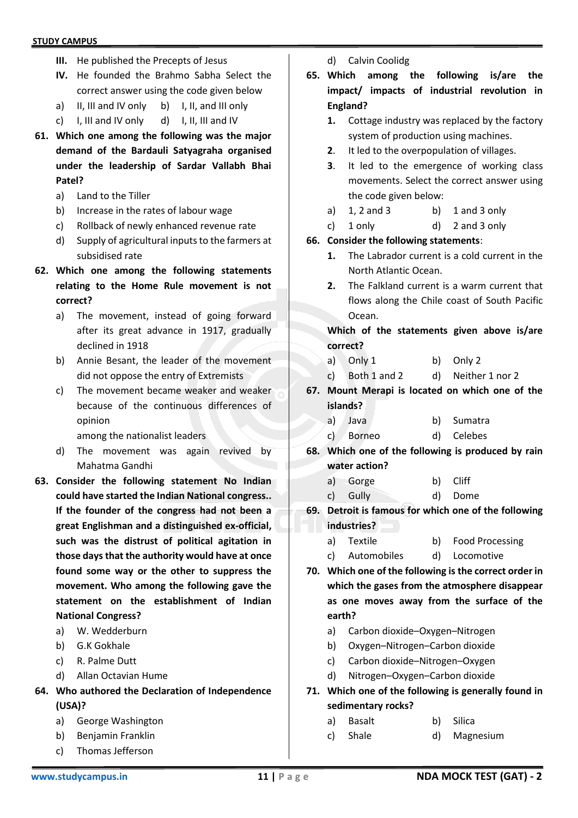- **III.** He published the Precepts of Jesus
- **IV.** He founded the Brahmo Sabha Select the correct answer using the code given below
- a) II, III and IV only b) I, II, and III only
- c) I, III and IV only d) I, II, III and IV
- **61. Which one among the following was the major demand of the Bardauli Satyagraha organised under the leadership of Sardar Vallabh Bhai Patel?**
	- a) Land to the Tiller
	- b) Increase in the rates of labour wage
	- c) Rollback of newly enhanced revenue rate
	- d) Supply of agricultural inputs to the farmers at subsidised rate
- **62. Which one among the following statements relating to the Home Rule movement is not correct?**
	- a) The movement, instead of going forward after its great advance in 1917, gradually declined in 1918
	- b) Annie Besant, the leader of the movement did not oppose the entry of Extremists
	- c) The movement became weaker and weaker because of the continuous differences of opinion
		- among the nationalist leaders
	- d) The movement was again revived by Mahatma Gandhi
- **63. Consider the following statement No Indian could have started the Indian National congress.. If the founder of the congress had not been a great Englishman and a distinguished ex-official, such was the distrust of political agitation in those days that the authority would have at once found some way or the other to suppress the movement. Who among the following gave the statement on the establishment of Indian National Congress?**
	- a) W. Wedderburn
	- b) G.K Gokhale
	- c) R. Palme Dutt
	- d) Allan Octavian Hume
- **64. Who authored the Declaration of Independence (USA)?**
	- a) George Washington
	- b) Benjamin Franklin
	- c) Thomas Jefferson
- d) Calvin Coolidg
- **65. Which among the following is/are the impact/ impacts of industrial revolution in England?**
	- **1.** Cottage industry was replaced by the factory system of production using machines.
	- **2**. It led to the overpopulation of villages.
	- **3**. It led to the emergence of working class movements. Select the correct answer using the code given below:
	- a)  $1, 2$  and  $3$  b)  $1$  and  $3$  only
	- c) 1 only d) 2 and 3 only
- **66. Consider the following statements**:
	- **1.** The Labrador current is a cold current in the North Atlantic Ocean.
	- **2.** The Falkland current is a warm current that flows along the Chile coast of South Pacific Ocean.

**Which of the statements given above is/are correct?**

- a) Only 1 b) Only 2
- c) Both 1 and 2 d) Neither 1 nor 2
- **67. Mount Merapi is located on which one of the islands?**
	- a) Java b) Sumatra
	- c) Borneo d) Celebes
- **68. Which one of the following is produced by rain water action?**
	- a) Gorge b) Cliff
	- c) Gully d) Dome
- **69. Detroit is famous for which one of the following industries?**
	- a) Textile b) Food Processing
	- c) Automobiles d) Locomotive
- **70. Which one of the following is the correct order in which the gases from the atmosphere disappear as one moves away from the surface of the earth?**
	- a) Carbon dioxide–Oxygen–Nitrogen
	- b) Oxygen–Nitrogen–Carbon dioxide
	- c) Carbon dioxide–Nitrogen–Oxygen
	- d) Nitrogen–Oxygen–Carbon dioxide
- **71. Which one of the following is generally found in sedimentary rocks?**
	- a) Basalt b) Silica
	- c) Shale d) Magnesium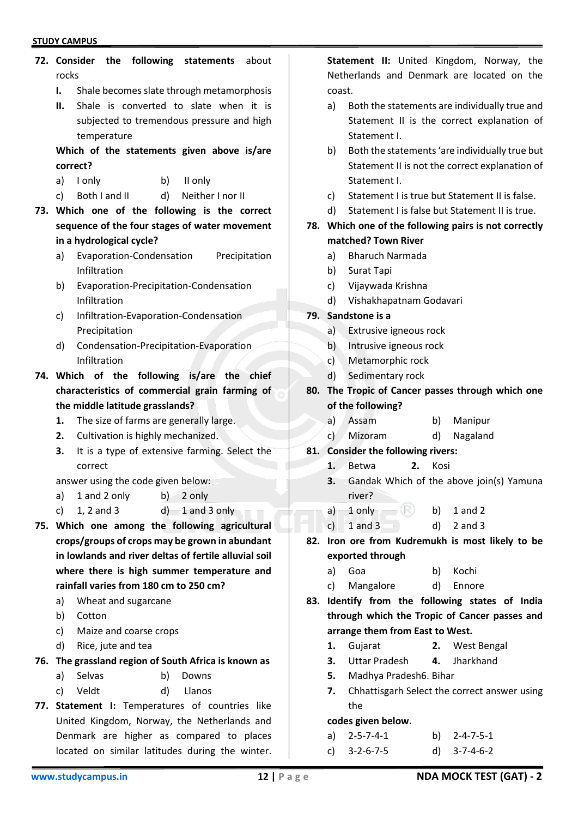# **72. Consider the following statements** about rocks **I.** Shale becomes slate through metamorphosis **II.** Shale is converted to slate when it is subjected to tremendous pressure and high temperature **Which of the statements given above is/are correct?** a) I only b) II only c) Both I and II d) Neither I nor II **73. Which one of the following is the correct sequence of the four stages of water movement in a hydrological cycle?** a) Evaporation-Condensation Precipitation Infiltration b) Evaporation-Precipitation-Condensation Infiltration c) Infiltration-Evaporation-Condensation Precipitation d) Condensation-Precipitation-Evaporation Infiltration **74. Which of the following is/are the chief characteristics of commercial grain farming of the middle latitude grasslands? 1.** The size of farms are generally large. **2.** Cultivation is highly mechanized. **3.** It is a type of extensive farming. Select the correct answer using the code given below: a) 1 and 2 only b) 2 only c)  $1, 2$  and  $3$  d)  $1$  and  $3$  only **75. Which one among the following agricultural crops/groups of crops may be grown in abundant in lowlands and river deltas of fertile alluvial soil where there is high summer temperature and rainfall varies from 180 cm to 250 cm?**

- a) Wheat and sugarcane
- b) Cotton
- c) Maize and coarse crops
- d) Rice, jute and tea

## **76. The grassland region of South Africa is known as**

- a) Selvas b) Downs
- c) Veldt d) Llanos
- **77. Statement I:** Temperatures of countries like United Kingdom, Norway, the Netherlands and Denmark are higher as compared to places located on similar latitudes during the winter.

**Statement II:** United Kingdom, Norway, the Netherlands and Denmark are located on the coast.

- a) Both the statements are individually true and Statement II is the correct explanation of Statement I.
- b) Both the statements 'are individually true but Statement II is not the correct explanation of Statement I.
- c) Statement I is true but Statement II is false.
- d) Statement I is false but Statement II is true.

## **78. Which one of the following pairs is not correctly matched? Town River**

- a) Bharuch Narmada
- b) Surat Tapi
- c) Vijaywada Krishna
- d) Vishakhapatnam Godavari
- **79. Sandstone is a**
	- a) Extrusive igneous rock
	- b) Intrusive igneous rock
	- c) Metamorphic rock
	- d) Sedimentary rock
- **80. The Tropic of Cancer passes through which one of the following?**
	- a) Assam b) Manipur
	- c) Mizoram d) Nagaland
- **81. Consider the following rivers:**
	- **1.** Betwa **2.** Kosi
	- **3.** Gandak Which of the above join(s) Yamuna river?
	- a)  $1$  only  $\bullet$  b)  $1$  and  $2$
	- c)  $1$  and  $3$  d)  $2$  and  $3$
- **82. Iron ore from Kudremukh is most likely to be exported through**
	- a) Goa b) Kochi
	- c) Mangalore d) Ennore
- **83. Identify from the following states of India through which the Tropic of Cancer passes and arrange them from East to West.**
	- **1.** Gujarat **2.** West Bengal
	- **3.** Uttar Pradesh **4.** Jharkhand
	- **5.** Madhya Pradesh6. Bihar
	- **7.** Chhattisgarh Select the correct answer using the

## **codes given below.**

- a) 2-5-7-4-1 b) 2-4-7-5-1
- c) 3-2-6-7-5 d) 3-7-4-6-2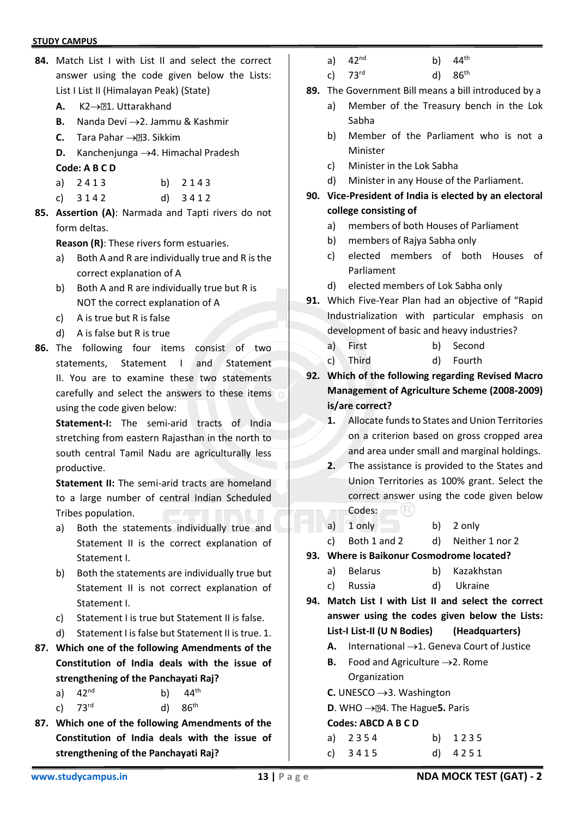- **84.** Match List I with List II and select the correct answer using the code given below the Lists: List I List II (Himalayan Peak) (State)
	- **A.** K2→**21.** Uttarakhand
	- **B.** Nanda Devi →2. Jammu & Kashmir
	- **C.** Tara Pahar →23. Sikkim
	- **D.** Kanchenjunga →4. Himachal Pradesh
	- **Code: A B C D**
	- a) 2413 b) 2143
	- c) 3 1 4 2 d) 3 4 1 2
- **85. Assertion (A)**: Narmada and Tapti rivers do not form deltas.

**Reason (R)**: These rivers form estuaries.

- a) Both A and R are individually true and R is the correct explanation of A
- b) Both A and R are individually true but R is NOT the correct explanation of A
- c) A is true but R is false
- d) A is false but R is true
- **86.** The following four items consist of two statements, Statement I and Statement II. You are to examine these two statements carefully and select the answers to these items using the code given below:

**Statement-I:** The semi-arid tracts of India stretching from eastern Rajasthan in the north to south central Tamil Nadu are agriculturally less productive.

**Statement II:** The semi-arid tracts are homeland to a large number of central Indian Scheduled Tribes population.

- a) Both the statements individually true and Statement II is the correct explanation of Statement I.
- b) Both the statements are individually true but Statement II is not correct explanation of Statement I.
- c) Statement I is true but Statement II is false.
- d) Statement I is false but Statement II is true. 1.
- **87. Which one of the following Amendments of the Constitution of India deals with the issue of strengthening of the Panchayati Raj?**
	- a)  $42^{nd}$  b)  $44^{th}$
	- c)  $73^{rd}$  d)  $86^{th}$
- **87. Which one of the following Amendments of the Constitution of India deals with the issue of strengthening of the Panchayati Raj?**
- a)  $42^{nd}$  b)  $44^{th}$
- c)  $73^{rd}$  d)  $86^{th}$
- **89.** The Government Bill means a bill introduced by a
	- a) Member of the Treasury bench in the Lok Sabha
	- b) Member of the Parliament who is not a Minister
	- c) Minister in the Lok Sabha
	- d) Minister in any House of the Parliament.

## **90. Vice-President of India is elected by an electoral college consisting of**

- a) members of both Houses of Parliament
- b) members of Rajya Sabha only
- c) elected members of both Houses of Parliament
- d) elected members of Lok Sabha only
- **91.** Which Five-Year Plan had an objective of "Rapid Industrialization with particular emphasis on development of basic and heavy industries?
	- a) First b) Second
	- c) Third d) Fourth
- **92. Which of the following regarding Revised Macro Management of Agriculture Scheme (2008-2009) is/are correct?**
	- **1.** Allocate funds to States and Union Territories on a criterion based on gross cropped area and area under small and marginal holdings.
	- **2.** The assistance is provided to the States and Union Territories as 100% grant. Select the correct answer using the code given below  $\mathsf{Codes:}\qquad\qquad\mathbb{R})$
	- a) 1 only b) 2 only
	- c) Both 1 and 2 d) Neither 1 nor 2
- **93. Where is Baikonur Cosmodrome located?**
	- a) Belarus b) Kazakhstan
	- c) Russia d) Ukraine
- **94. Match List I with List II and select the correct answer using the codes given below the Lists: List-I List-II (U N Bodies) (Headquarters)**
	- **A.** International →1. Geneva Court of Justice
	- **B.** Food and Agriculture  $\rightarrow$  2. Rome Organization
	- **C.** UNESCO →3. Washington
	- **D**. WHO → 24. The Hague 5. Paris

## **Codes: ABCD A B C D**

| a) $2354$ | b) 1235   |
|-----------|-----------|
| c) $3415$ | d) $4251$ |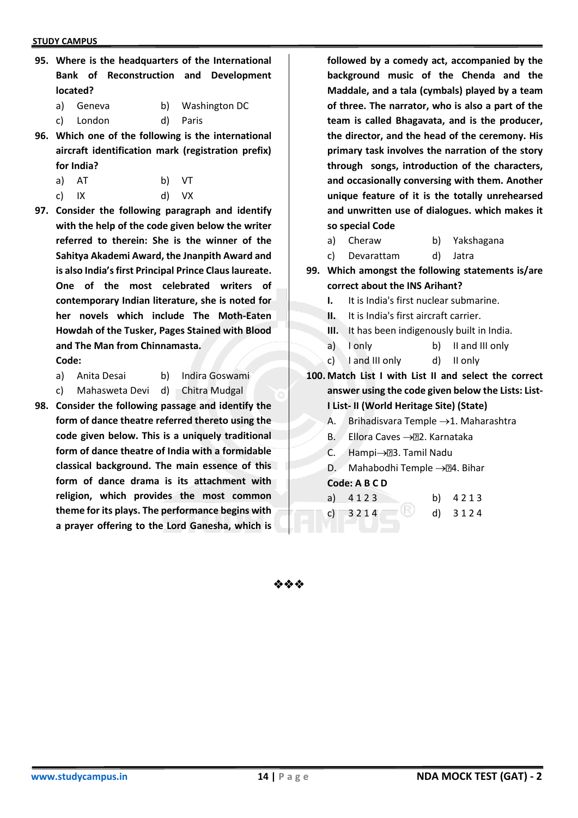- **95. Where is the headquarters of the International Bank of Reconstruction and Development located?**
	- a) Geneva b) Washington DC

c) London d) Paris

- **96. Which one of the following is the international aircraft identification mark (registration prefix) for India?**
	- a) AT b) VT
	- c) IX d) VX
- **97. Consider the following paragraph and identify with the help of the code given below the writer referred to therein: She is the winner of the Sahitya Akademi Award, the Jnanpith Award and is also India's first Principal Prince Claus laureate. One of the most celebrated writers of contemporary Indian literature, she is noted for her novels which include The Moth-Eaten Howdah of the Tusker, Pages Stained with Blood and The Man from Chinnamasta.**

**Code:**

a) Anita Desai b) Indira Goswami

c) Mahasweta Devi d) Chitra Mudgal

**98. Consider the following passage and identify the form of dance theatre referred thereto using the code given below. This is a uniquely traditional form of dance theatre of India with a formidable classical background. The main essence of this form of dance drama is its attachment with religion, which provides the most common theme for its plays. The performance begins with a prayer offering to the Lord Ganesha, which is** 

**followed by a comedy act, accompanied by the background music of the Chenda and the Maddale, and a tala (cymbals) played by a team of three. The narrator, who is also a part of the team is called Bhagavata, and is the producer, the director, and the head of the ceremony. His primary task involves the narration of the story through songs, introduction of the characters, and occasionally conversing with them. Another unique feature of it is the totally unrehearsed and unwritten use of dialogues. which makes it so special Code**

- a) Cheraw b) Yakshagana
- c) Devarattam d) Jatra
- **99. Which amongst the following statements is/are correct about the INS Arihant?**
	- **I.** It is India's first nuclear submarine.
	- **II.** It is India's first aircraft carrier.
	- **III.** It has been indigenously built in India.
	- a) I only b) II and III only
	- c) I and III only d) II only
- **100. Match List I with List II and select the correct answer using the code given below the Lists: List-I List- II (World Heritage Site) (State)**
	- A. Brihadisvara Temple →1. Maharashtra
	- B. Ellora Caves → 22. Karnataka
	- C. Hampi→23. Tamil Nadu
	- D. Mahabodhi Temple →24. Bihar

### **Code: A B C D**

- a) 4 1 2 3 b) 4 2 1 3
- c)  $3214$  d)  $3124$

❖❖❖